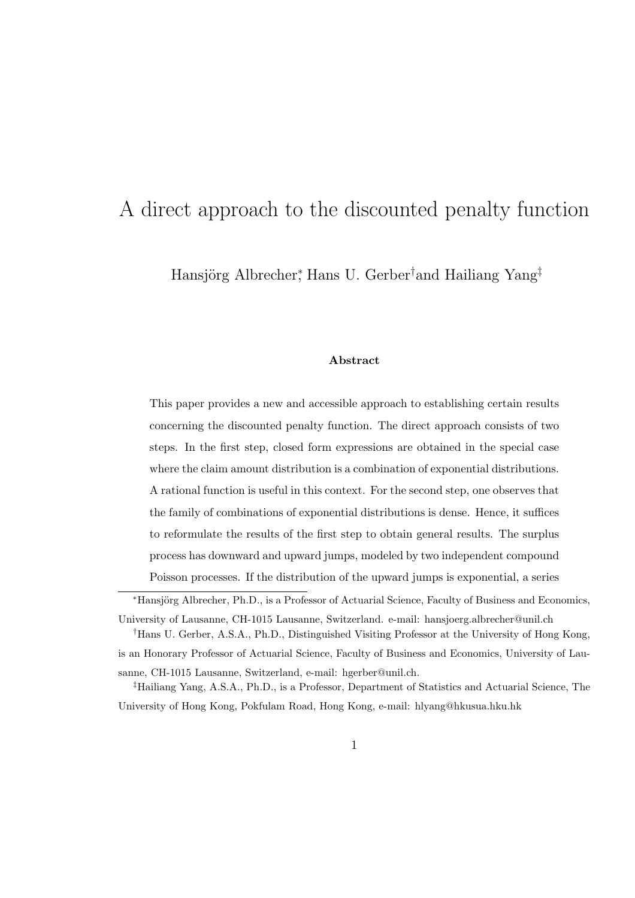# A direct approach to the discounted penalty function

Hansjörg Albrecher<sup>\*</sup>, Hans U. Gerber<sup>†</sup>and Hailiang Yang<sup>‡</sup>

#### Abstract

This paper provides a new and accessible approach to establishing certain results concerning the discounted penalty function. The direct approach consists of two steps. In the first step, closed form expressions are obtained in the special case where the claim amount distribution is a combination of exponential distributions. A rational function is useful in this context. For the second step, one observes that the family of combinations of exponential distributions is dense. Hence, it suffices to reformulate the results of the first step to obtain general results. The surplus process has downward and upward jumps, modeled by two independent compound Poisson processes. If the distribution of the upward jumps is exponential, a series

<sup>\*</sup>Hansjörg Albrecher, Ph.D., is a Professor of Actuarial Science, Faculty of Business and Economics, University of Lausanne, CH-1015 Lausanne, Switzerland. e-mail: hansjoerg.albrecher@unil.ch

<sup>†</sup>Hans U. Gerber, A.S.A., Ph.D., Distinguished Visiting Professor at the University of Hong Kong, is an Honorary Professor of Actuarial Science, Faculty of Business and Economics, University of Lausanne, CH-1015 Lausanne, Switzerland, e-mail: hgerber@unil.ch.

<sup>‡</sup>Hailiang Yang, A.S.A., Ph.D., is a Professor, Department of Statistics and Actuarial Science, The University of Hong Kong, Pokfulam Road, Hong Kong, e-mail: hlyang@hkusua.hku.hk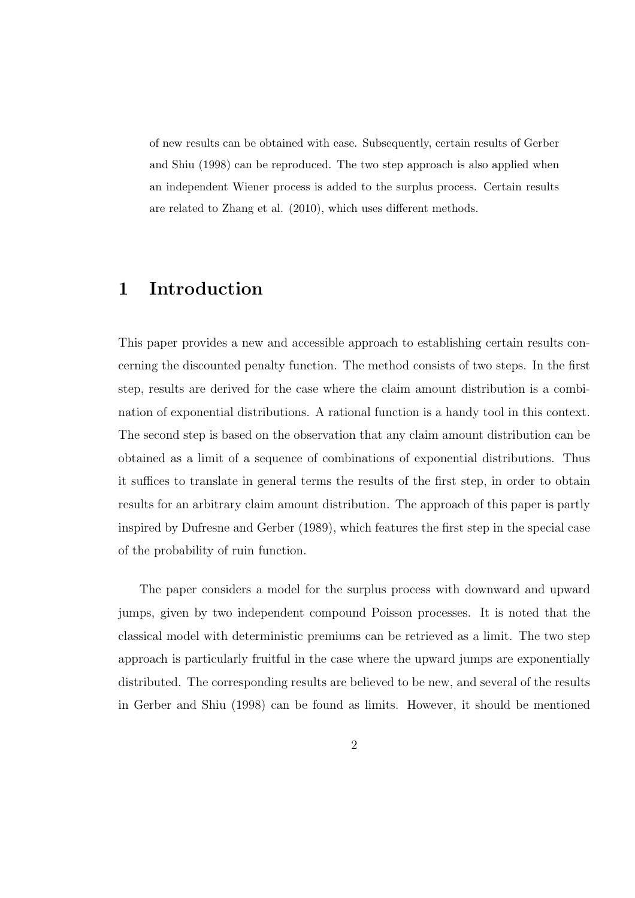of new results can be obtained with ease. Subsequently, certain results of Gerber and Shiu (1998) can be reproduced. The two step approach is also applied when an independent Wiener process is added to the surplus process. Certain results are related to Zhang et al. (2010), which uses different methods.

## 1 Introduction

This paper provides a new and accessible approach to establishing certain results concerning the discounted penalty function. The method consists of two steps. In the first step, results are derived for the case where the claim amount distribution is a combination of exponential distributions. A rational function is a handy tool in this context. The second step is based on the observation that any claim amount distribution can be obtained as a limit of a sequence of combinations of exponential distributions. Thus it suffices to translate in general terms the results of the first step, in order to obtain results for an arbitrary claim amount distribution. The approach of this paper is partly inspired by Dufresne and Gerber (1989), which features the first step in the special case of the probability of ruin function.

The paper considers a model for the surplus process with downward and upward jumps, given by two independent compound Poisson processes. It is noted that the classical model with deterministic premiums can be retrieved as a limit. The two step approach is particularly fruitful in the case where the upward jumps are exponentially distributed. The corresponding results are believed to be new, and several of the results in Gerber and Shiu (1998) can be found as limits. However, it should be mentioned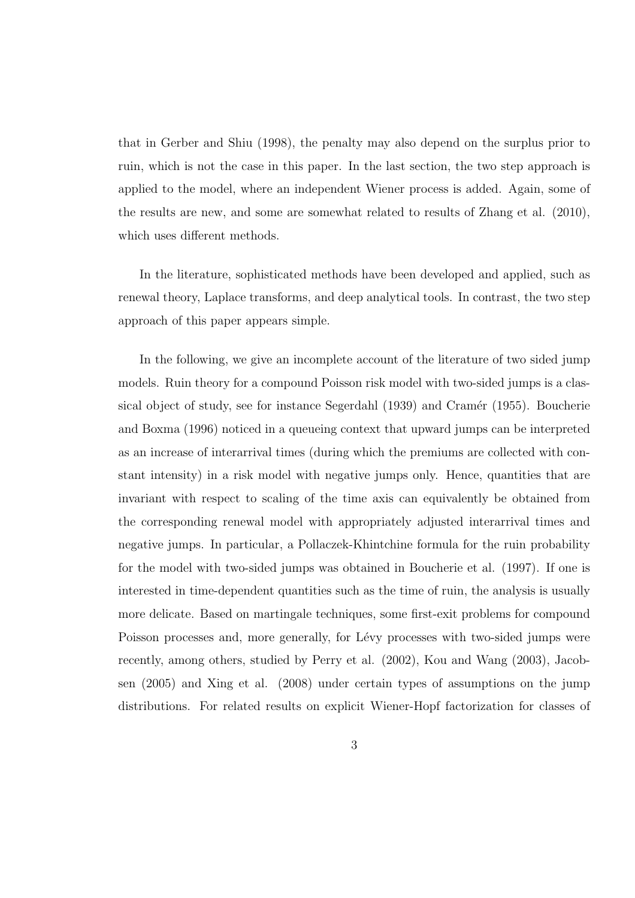that in Gerber and Shiu (1998), the penalty may also depend on the surplus prior to ruin, which is not the case in this paper. In the last section, the two step approach is applied to the model, where an independent Wiener process is added. Again, some of the results are new, and some are somewhat related to results of Zhang et al. (2010), which uses different methods.

In the literature, sophisticated methods have been developed and applied, such as renewal theory, Laplace transforms, and deep analytical tools. In contrast, the two step approach of this paper appears simple.

In the following, we give an incomplete account of the literature of two sided jump models. Ruin theory for a compound Poisson risk model with two-sided jumps is a classical object of study, see for instance Segerdahl (1939) and Cramér (1955). Boucherie and Boxma (1996) noticed in a queueing context that upward jumps can be interpreted as an increase of interarrival times (during which the premiums are collected with constant intensity) in a risk model with negative jumps only. Hence, quantities that are invariant with respect to scaling of the time axis can equivalently be obtained from the corresponding renewal model with appropriately adjusted interarrival times and negative jumps. In particular, a Pollaczek-Khintchine formula for the ruin probability for the model with two-sided jumps was obtained in Boucherie et al. (1997). If one is interested in time-dependent quantities such as the time of ruin, the analysis is usually more delicate. Based on martingale techniques, some first-exit problems for compound Poisson processes and, more generally, for Lévy processes with two-sided jumps were recently, among others, studied by Perry et al. (2002), Kou and Wang (2003), Jacobsen (2005) and Xing et al. (2008) under certain types of assumptions on the jump distributions. For related results on explicit Wiener-Hopf factorization for classes of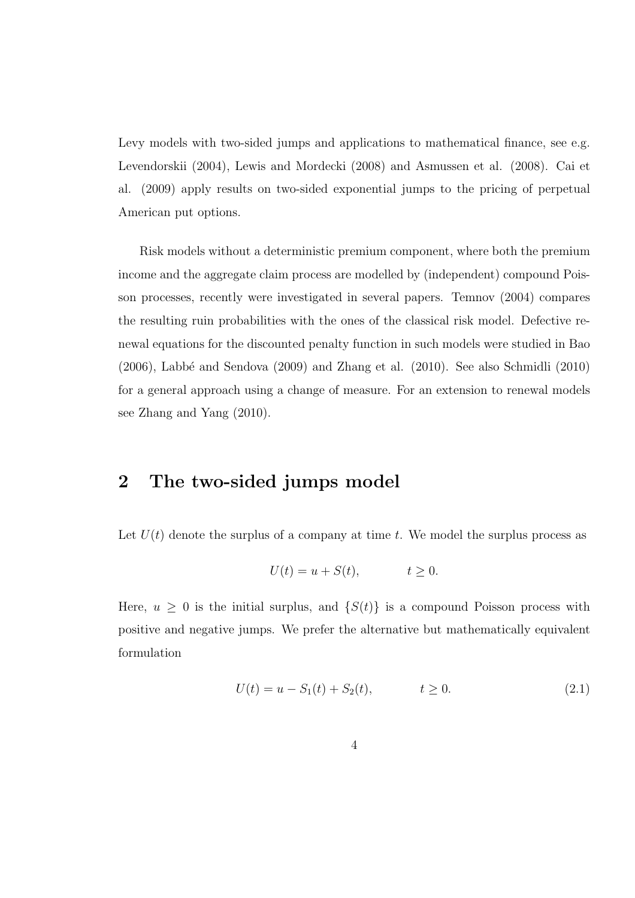Levy models with two-sided jumps and applications to mathematical finance, see e.g. Levendorskii (2004), Lewis and Mordecki (2008) and Asmussen et al. (2008). Cai et al. (2009) apply results on two-sided exponential jumps to the pricing of perpetual American put options.

Risk models without a deterministic premium component, where both the premium income and the aggregate claim process are modelled by (independent) compound Poisson processes, recently were investigated in several papers. Temnov (2004) compares the resulting ruin probabilities with the ones of the classical risk model. Defective renewal equations for the discounted penalty function in such models were studied in Bao  $(2006)$ , Labbé and Sendova  $(2009)$  and Zhang et al.  $(2010)$ . See also Schmidli  $(2010)$ for a general approach using a change of measure. For an extension to renewal models see Zhang and Yang (2010).

#### 2 The two-sided jumps model

Let  $U(t)$  denote the surplus of a company at time t. We model the surplus process as

$$
U(t) = u + S(t), \qquad t \ge 0.
$$

Here,  $u \geq 0$  is the initial surplus, and  $\{S(t)\}\$ is a compound Poisson process with positive and negative jumps. We prefer the alternative but mathematically equivalent formulation

$$
U(t) = u - S_1(t) + S_2(t), \qquad t \ge 0.
$$
\n(2.1)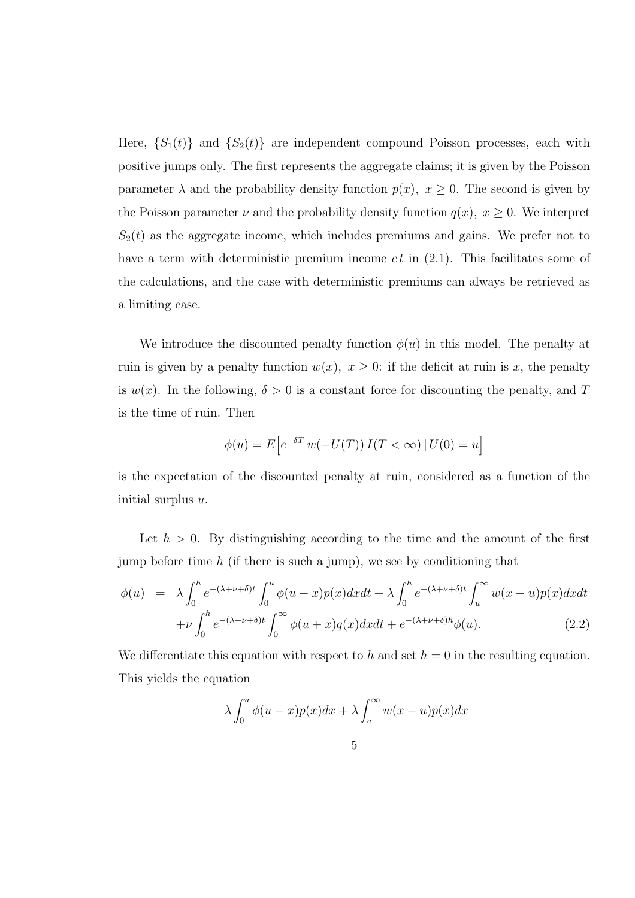Here,  $\{S_1(t)\}\$ and  $\{S_2(t)\}\$ are independent compound Poisson processes, each with positive jumps only. The first represents the aggregate claims; it is given by the Poisson parameter  $\lambda$  and the probability density function  $p(x)$ ,  $x \ge 0$ . The second is given by the Poisson parameter  $\nu$  and the probability density function  $q(x)$ ,  $x \ge 0$ . We interpret  $S_2(t)$  as the aggregate income, which includes premiums and gains. We prefer not to have a term with deterministic premium income  $ct$  in  $(2.1)$ . This facilitates some of the calculations, and the case with deterministic premiums can always be retrieved as a limiting case.

We introduce the discounted penalty function  $\phi(u)$  in this model. The penalty at ruin is given by a penalty function  $w(x)$ ,  $x \geq 0$ : if the deficit at ruin is x, the penalty is  $w(x)$ . In the following,  $\delta > 0$  is a constant force for discounting the penalty, and T is the time of ruin. Then

$$
\phi(u) = E\Big[e^{-\delta T} w(-U(T)) I(T < \infty) | U(0) = u\Big]
$$

is the expectation of the discounted penalty at ruin, considered as a function of the initial surplus  $u$ .

Let  $h > 0$ . By distinguishing according to the time and the amount of the first jump before time  $h$  (if there is such a jump), we see by conditioning that

$$
\phi(u) = \lambda \int_0^h e^{-(\lambda + \nu + \delta)t} \int_0^u \phi(u - x) p(x) dx dt + \lambda \int_0^h e^{-(\lambda + \nu + \delta)t} \int_u^\infty w(x - u) p(x) dx dt
$$

$$
+ \nu \int_0^h e^{-(\lambda + \nu + \delta)t} \int_0^\infty \phi(u + x) q(x) dx dt + e^{-(\lambda + \nu + \delta)h} \phi(u).
$$
(2.2)

We differentiate this equation with respect to h and set  $h = 0$  in the resulting equation. This yields the equation

$$
\lambda \int_0^u \phi(u-x)p(x)dx + \lambda \int_u^\infty w(x-u)p(x)dx
$$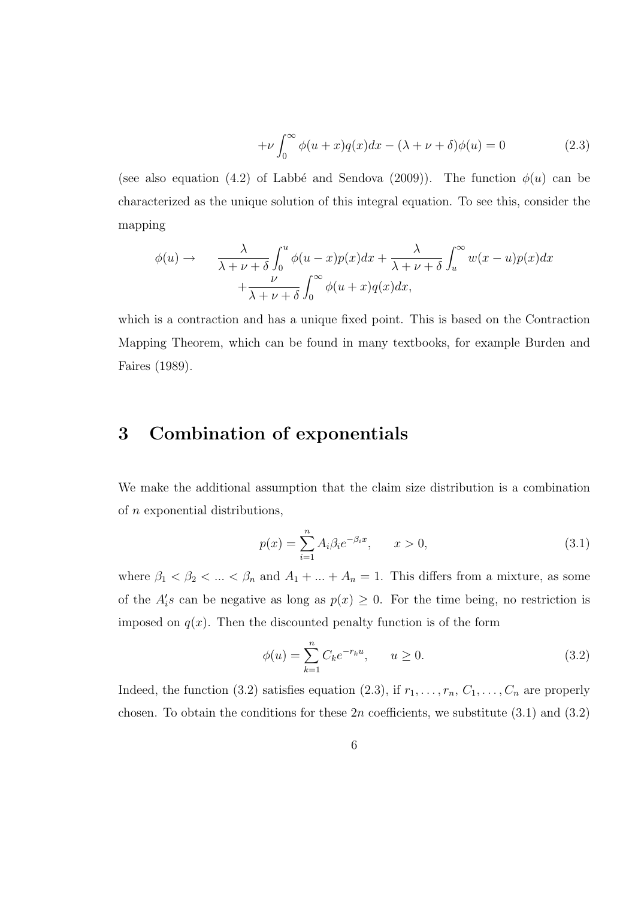$$
+\nu \int_0^\infty \phi(u+x)q(x)dx - (\lambda + \nu + \delta)\phi(u) = 0
$$
\n(2.3)

(see also equation (4.2) of Labbé and Sendova (2009)). The function  $\phi(u)$  can be characterized as the unique solution of this integral equation. To see this, consider the mapping

$$
\phi(u) \to \frac{\lambda}{\lambda + \nu + \delta} \int_0^u \phi(u - x) p(x) dx + \frac{\lambda}{\lambda + \nu + \delta} \int_u^\infty w(x - u) p(x) dx + \frac{\nu}{\lambda + \nu + \delta} \int_0^\infty \phi(u + x) q(x) dx,
$$

which is a contraction and has a unique fixed point. This is based on the Contraction Mapping Theorem, which can be found in many textbooks, for example Burden and Faires (1989).

#### 3 Combination of exponentials

We make the additional assumption that the claim size distribution is a combination of n exponential distributions,

$$
p(x) = \sum_{i=1}^{n} A_i \beta_i e^{-\beta_i x}, \qquad x > 0,
$$
\n(3.1)

where  $\beta_1 < \beta_2 < ... < \beta_n$  and  $A_1 + ... + A_n = 1$ . This differs from a mixture, as some of the  $A_i$ 's can be negative as long as  $p(x) \geq 0$ . For the time being, no restriction is imposed on  $q(x)$ . Then the discounted penalty function is of the form

$$
\phi(u) = \sum_{k=1}^{n} C_k e^{-r_k u}, \qquad u \ge 0.
$$
\n(3.2)

Indeed, the function (3.2) satisfies equation (2.3), if  $r_1, \ldots, r_n, C_1, \ldots, C_n$  are properly chosen. To obtain the conditions for these  $2n$  coefficients, we substitute  $(3.1)$  and  $(3.2)$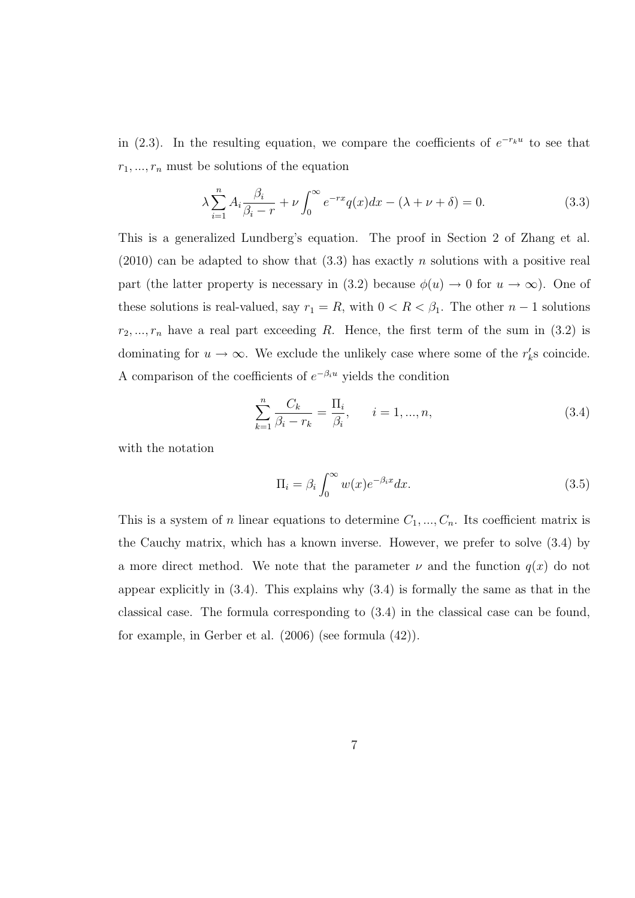in (2.3). In the resulting equation, we compare the coefficients of  $e^{-r_ku}$  to see that  $r_1, ..., r_n$  must be solutions of the equation

$$
\lambda \sum_{i=1}^{n} A_i \frac{\beta_i}{\beta_i - r} + \nu \int_0^{\infty} e^{-rx} q(x) dx - (\lambda + \nu + \delta) = 0.
$$
 (3.3)

This is a generalized Lundberg's equation. The proof in Section 2 of Zhang et al.  $(2010)$  can be adapted to show that  $(3.3)$  has exactly n solutions with a positive real part (the latter property is necessary in (3.2) because  $\phi(u) \to 0$  for  $u \to \infty$ ). One of these solutions is real-valued, say  $r_1 = R$ , with  $0 < R < \beta_1$ . The other  $n - 1$  solutions  $r_2, ..., r_n$  have a real part exceeding R. Hence, the first term of the sum in (3.2) is dominating for  $u \to \infty$ . We exclude the unlikely case where some of the  $r'_k$ s coincide. A comparison of the coefficients of  $e^{-\beta_i u}$  yields the condition

$$
\sum_{k=1}^{n} \frac{C_k}{\beta_i - r_k} = \frac{\Pi_i}{\beta_i}, \qquad i = 1, ..., n,
$$
\n(3.4)

with the notation

$$
\Pi_i = \beta_i \int_0^\infty w(x) e^{-\beta_i x} dx.
$$
\n(3.5)

This is a system of n linear equations to determine  $C_1, ..., C_n$ . Its coefficient matrix is the Cauchy matrix, which has a known inverse. However, we prefer to solve (3.4) by a more direct method. We note that the parameter  $\nu$  and the function  $q(x)$  do not appear explicitly in  $(3.4)$ . This explains why  $(3.4)$  is formally the same as that in the classical case. The formula corresponding to (3.4) in the classical case can be found, for example, in Gerber et al. (2006) (see formula (42)).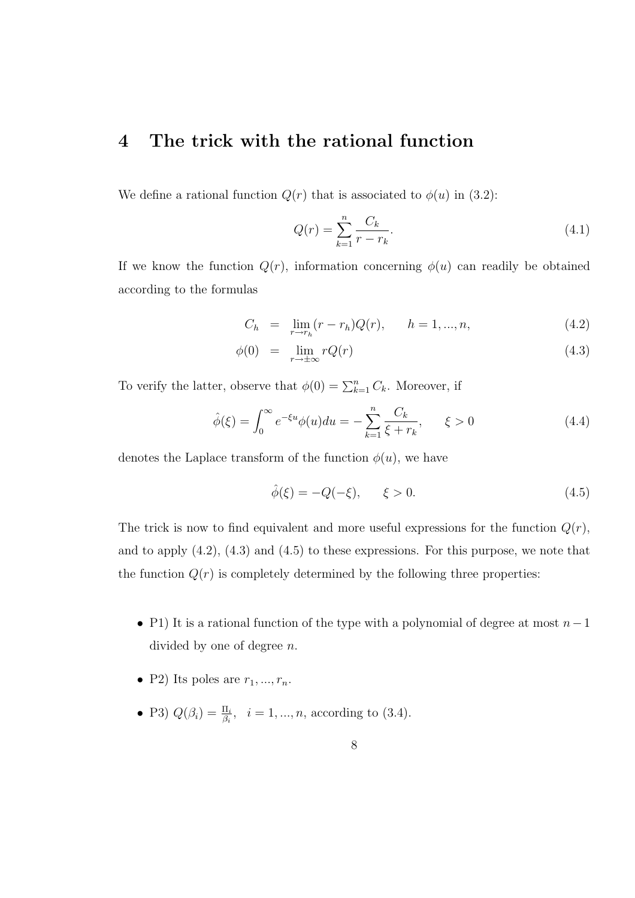#### 4 The trick with the rational function

We define a rational function  $Q(r)$  that is associated to  $\phi(u)$  in (3.2):

$$
Q(r) = \sum_{k=1}^{n} \frac{C_k}{r - r_k}.
$$
\n(4.1)

If we know the function  $Q(r)$ , information concerning  $\phi(u)$  can readily be obtained according to the formulas

$$
C_h = \lim_{r \to r_h} (r - r_h) Q(r), \qquad h = 1, ..., n,
$$
\n(4.2)

$$
\phi(0) = \lim_{r \to \pm \infty} rQ(r) \tag{4.3}
$$

To verify the latter, observe that  $\phi(0) = \sum_{k=1}^{n} C_k$ . Moreover, if

$$
\hat{\phi}(\xi) = \int_0^\infty e^{-\xi u} \phi(u) du = -\sum_{k=1}^n \frac{C_k}{\xi + r_k}, \qquad \xi > 0 \tag{4.4}
$$

denotes the Laplace transform of the function  $\phi(u)$ , we have

$$
\hat{\phi}(\xi) = -Q(-\xi), \qquad \xi > 0.
$$
\n(4.5)

The trick is now to find equivalent and more useful expressions for the function  $Q(r)$ , and to apply  $(4.2)$ ,  $(4.3)$  and  $(4.5)$  to these expressions. For this purpose, we note that the function  $Q(r)$  is completely determined by the following three properties:

- P1) It is a rational function of the type with a polynomial of degree at most  $n-1$ divided by one of degree n.
- P2) Its poles are  $r_1, ..., r_n$ .
- P3)  $Q(\beta_i) = \frac{\Pi_i}{\beta_i}, \ \ i = 1, ..., n$ , according to (3.4).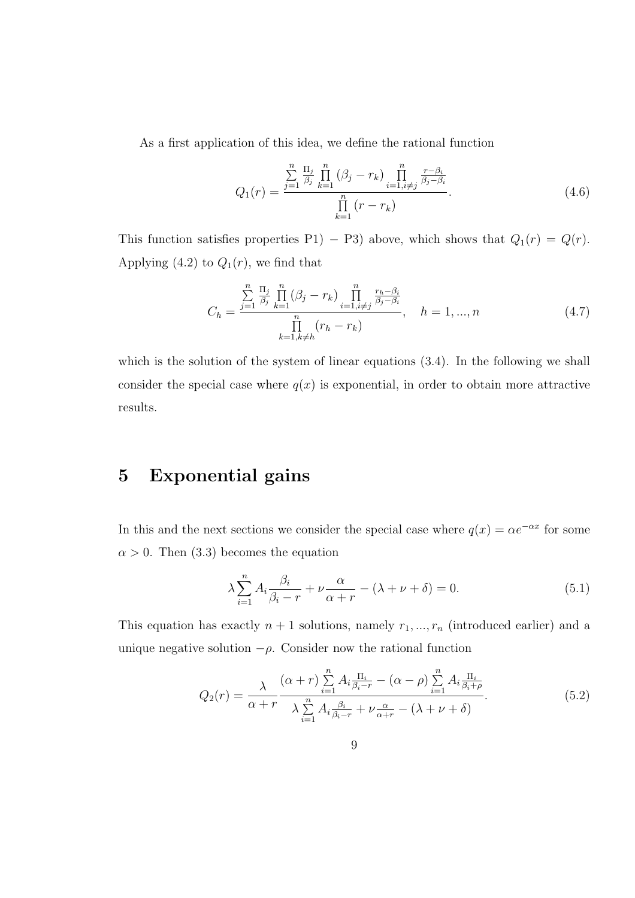As a first application of this idea, we define the rational function

$$
Q_1(r) = \frac{\sum_{j=1}^{n} \frac{\Pi_j}{\beta_j} \prod_{k=1}^{n} (\beta_j - r_k) \prod_{i=1, i \neq j}^{n} \frac{r - \beta_i}{\beta_j - \beta_i}}{\prod_{k=1}^{n} (r - r_k)}.
$$
(4.6)

This function satisfies properties P1) − P3) above, which shows that  $Q_1(r) = Q(r)$ . Applying (4.2) to  $Q_1(r)$ , we find that

$$
C_h = \frac{\sum_{j=1}^{n} \frac{\Pi_j}{\beta_j} \prod_{k=1}^{n} (\beta_j - r_k) \prod_{i=1, i \neq j}^{n} \frac{r_h - \beta_i}{\beta_j - \beta_i}}{\prod_{k=1, k \neq h}^{n} (r_h - r_k)}, \quad h = 1, ..., n
$$
\n(4.7)

which is the solution of the system of linear equations  $(3.4)$ . In the following we shall consider the special case where  $q(x)$  is exponential, in order to obtain more attractive results.

### 5 Exponential gains

In this and the next sections we consider the special case where  $q(x) = \alpha e^{-\alpha x}$  for some  $\alpha > 0$ . Then (3.3) becomes the equation

$$
\lambda \sum_{i=1}^{n} A_i \frac{\beta_i}{\beta_i - r} + \nu \frac{\alpha}{\alpha + r} - (\lambda + \nu + \delta) = 0.
$$
 (5.1)

This equation has exactly  $n + 1$  solutions, namely  $r_1, ..., r_n$  (introduced earlier) and a unique negative solution  $-\rho$ . Consider now the rational function

$$
Q_2(r) = \frac{\lambda}{\alpha + r} \frac{(\alpha + r) \sum_{i=1}^n A_i \frac{\Pi_i}{\beta_i - r} - (\alpha - \rho) \sum_{i=1}^n A_i \frac{\Pi_i}{\beta_i + \rho}}{\lambda \sum_{i=1}^n A_i \frac{\beta_i}{\beta_i - r} + \nu \frac{\alpha}{\alpha + r} - (\lambda + \nu + \delta)}.
$$
(5.2)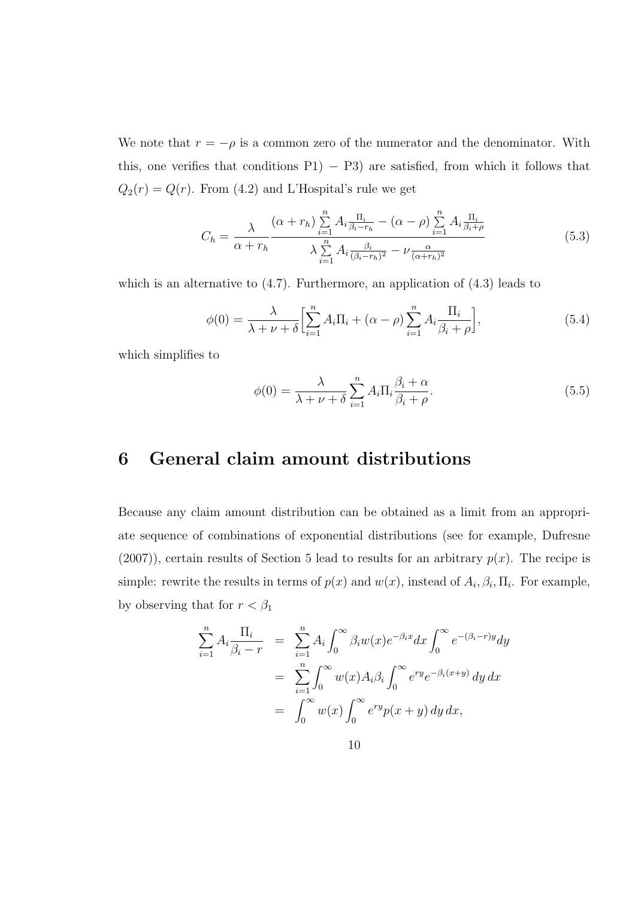We note that  $r = -\rho$  is a common zero of the numerator and the denominator. With this, one verifies that conditions  $P1$ ) − P3) are satisfied, from which it follows that  $Q_2(r) = Q(r)$ . From (4.2) and L'Hospital's rule we get

$$
C_h = \frac{\lambda}{\alpha + r_h} \frac{(\alpha + r_h) \sum\limits_{i=1}^n A_i \frac{\Pi_i}{\beta_i - r_h} - (\alpha - \rho) \sum\limits_{i=1}^n A_i \frac{\Pi_i}{\beta_i + \rho}}{\lambda \sum\limits_{i=1}^n A_i \frac{\beta_i}{(\beta_i - r_h)^2} - \nu \frac{\alpha}{(\alpha + r_h)^2}}
$$
(5.3)

which is an alternative to  $(4.7)$ . Furthermore, an application of  $(4.3)$  leads to

$$
\phi(0) = \frac{\lambda}{\lambda + \nu + \delta} \left[ \sum_{i=1}^{n} A_i \Pi_i + (\alpha - \rho) \sum_{i=1}^{n} A_i \frac{\Pi_i}{\beta_i + \rho} \right],\tag{5.4}
$$

which simplifies to

$$
\phi(0) = \frac{\lambda}{\lambda + \nu + \delta} \sum_{i=1}^{n} A_i \Pi_i \frac{\beta_i + \alpha}{\beta_i + \rho}.
$$
\n(5.5)

### 6 General claim amount distributions

Because any claim amount distribution can be obtained as a limit from an appropriate sequence of combinations of exponential distributions (see for example, Dufresne  $(2007)$ , certain results of Section 5 lead to results for an arbitrary  $p(x)$ . The recipe is simple: rewrite the results in terms of  $p(x)$  and  $w(x)$ , instead of  $A_i$ ,  $\beta_i$ ,  $\Pi_i$ . For example, by observing that for  $r<\beta_1$ 

$$
\sum_{i=1}^{n} A_i \frac{\Pi_i}{\beta_i - r} = \sum_{i=1}^{n} A_i \int_0^{\infty} \beta_i w(x) e^{-\beta_i x} dx \int_0^{\infty} e^{-(\beta_i - r)y} dy
$$

$$
= \sum_{i=1}^{n} \int_0^{\infty} w(x) A_i \beta_i \int_0^{\infty} e^{ry} e^{-\beta_i (x+y)} dy dx
$$

$$
= \int_0^{\infty} w(x) \int_0^{\infty} e^{ry} p(x+y) dy dx,
$$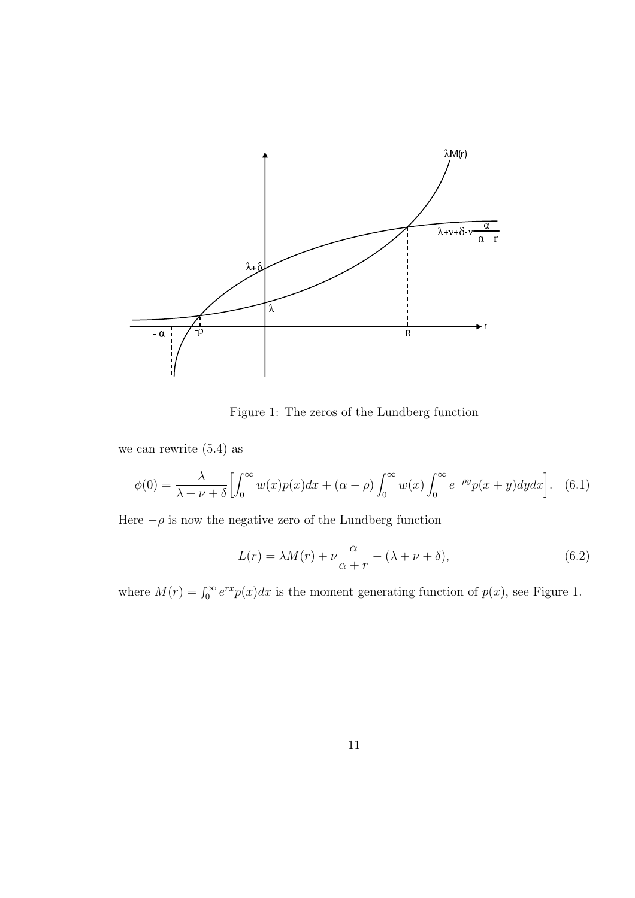

Figure 1: The zeros of the Lundberg function

we can rewrite (5.4) as

$$
\phi(0) = \frac{\lambda}{\lambda + \nu + \delta} \Big[ \int_0^\infty w(x) p(x) dx + (\alpha - \rho) \int_0^\infty w(x) \int_0^\infty e^{-\rho y} p(x + y) dy dx \Big]. \tag{6.1}
$$

Here  $-\rho$  is now the negative zero of the Lundberg function

$$
L(r) = \lambda M(r) + \nu \frac{\alpha}{\alpha + r} - (\lambda + \nu + \delta),\tag{6.2}
$$

where  $M(r) = \int_0^\infty e^{rx} p(x) dx$  is the moment generating function of  $p(x)$ , see Figure 1.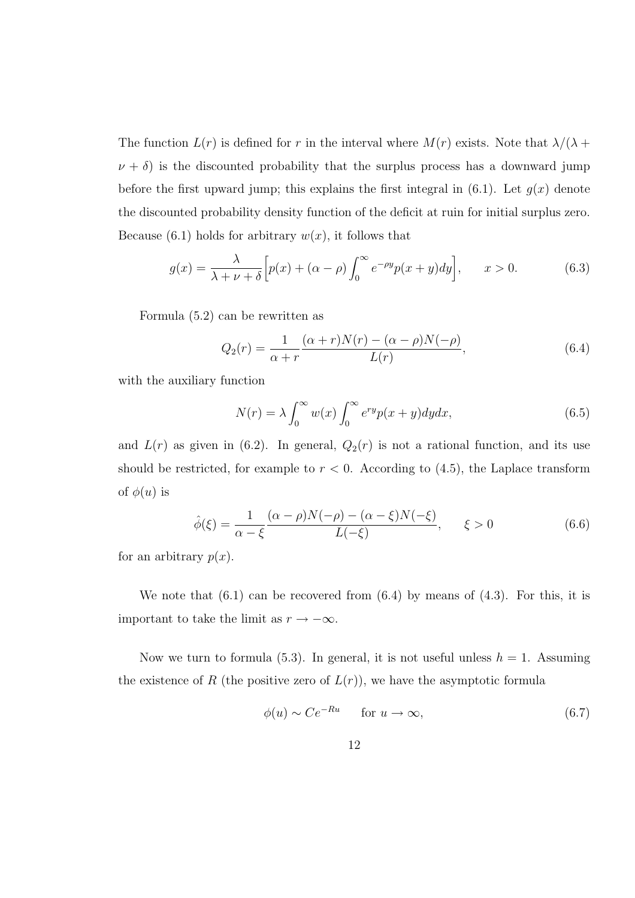The function  $L(r)$  is defined for r in the interval where  $M(r)$  exists. Note that  $\lambda/(\lambda +$  $\nu + \delta$ ) is the discounted probability that the surplus process has a downward jump before the first upward jump; this explains the first integral in  $(6.1)$ . Let  $g(x)$  denote the discounted probability density function of the deficit at ruin for initial surplus zero. Because (6.1) holds for arbitrary  $w(x)$ , it follows that

$$
g(x) = \frac{\lambda}{\lambda + \nu + \delta} \left[ p(x) + (\alpha - \rho) \int_0^\infty e^{-\rho y} p(x + y) dy \right], \qquad x > 0.
$$
 (6.3)

Formula (5.2) can be rewritten as

$$
Q_2(r) = \frac{1}{\alpha + r} \frac{(\alpha + r)N(r) - (\alpha - \rho)N(-\rho)}{L(r)},
$$
\n(6.4)

with the auxiliary function

$$
N(r) = \lambda \int_0^\infty w(x) \int_0^\infty e^{ry} p(x+y) dy dx, \tag{6.5}
$$

and  $L(r)$  as given in (6.2). In general,  $Q_2(r)$  is not a rational function, and its use should be restricted, for example to  $r < 0$ . According to  $(4.5)$ , the Laplace transform of  $\phi(u)$  is

$$
\hat{\phi}(\xi) = \frac{1}{\alpha - \xi} \frac{(\alpha - \rho)N(-\rho) - (\alpha - \xi)N(-\xi)}{L(-\xi)}, \qquad \xi > 0 \tag{6.6}
$$

for an arbitrary  $p(x)$ .

We note that  $(6.1)$  can be recovered from  $(6.4)$  by means of  $(4.3)$ . For this, it is important to take the limit as  $r \to -\infty$ .

Now we turn to formula (5.3). In general, it is not useful unless  $h = 1$ . Assuming the existence of R (the positive zero of  $L(r)$ ), we have the asymptotic formula

$$
\phi(u) \sim Ce^{-Ru} \qquad \text{for } u \to \infty,
$$
\n(6.7)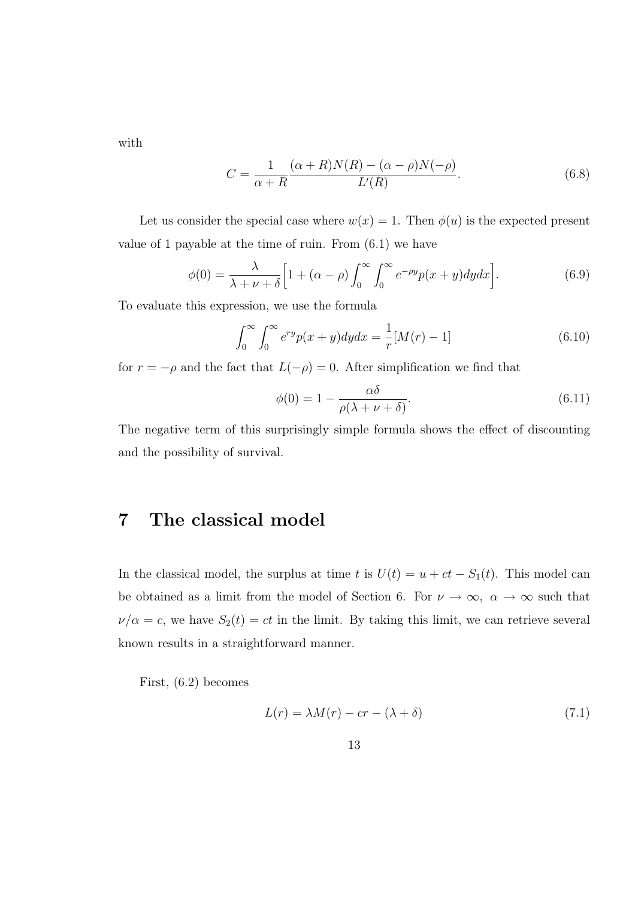with

$$
C = \frac{1}{\alpha + R} \frac{(\alpha + R)N(R) - (\alpha - \rho)N(-\rho)}{L'(R)}.
$$
\n(6.8)

Let us consider the special case where  $w(x) = 1$ . Then  $\phi(u)$  is the expected present value of 1 payable at the time of ruin. From (6.1) we have

$$
\phi(0) = \frac{\lambda}{\lambda + \nu + \delta} \left[ 1 + (\alpha - \rho) \int_0^\infty \int_0^\infty e^{-\rho y} p(x + y) dy dx \right].
$$
 (6.9)

To evaluate this expression, we use the formula

$$
\int_0^\infty \int_0^\infty e^{ry} p(x+y) dy dx = \frac{1}{r} [M(r) - 1]
$$
\n(6.10)

for  $r = -\rho$  and the fact that  $L(-\rho) = 0$ . After simplification we find that

$$
\phi(0) = 1 - \frac{\alpha \delta}{\rho(\lambda + \nu + \delta)}.\tag{6.11}
$$

The negative term of this surprisingly simple formula shows the effect of discounting and the possibility of survival.

#### 7 The classical model

In the classical model, the surplus at time t is  $U(t) = u + ct - S_1(t)$ . This model can be obtained as a limit from the model of Section 6. For  $\nu \to \infty$ ,  $\alpha \to \infty$  such that  $\nu/\alpha = c$ , we have  $S_2(t) = ct$  in the limit. By taking this limit, we can retrieve several known results in a straightforward manner.

First, (6.2) becomes

$$
L(r) = \lambda M(r) - cr - (\lambda + \delta)
$$
\n(7.1)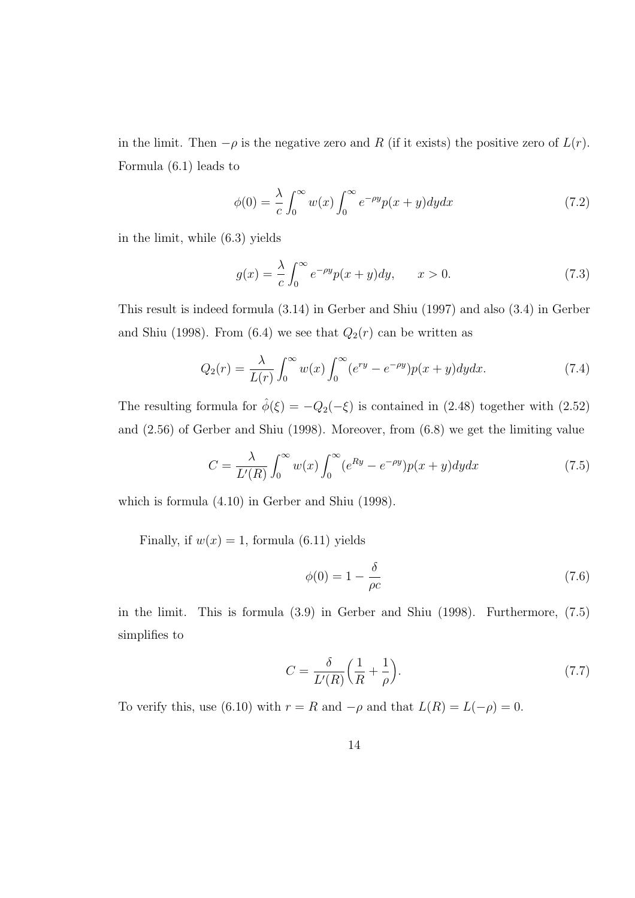in the limit. Then  $-\rho$  is the negative zero and R (if it exists) the positive zero of  $L(r)$ . Formula (6.1) leads to

$$
\phi(0) = \frac{\lambda}{c} \int_0^\infty w(x) \int_0^\infty e^{-\rho y} p(x+y) dy dx \tag{7.2}
$$

in the limit, while (6.3) yields

$$
g(x) = \frac{\lambda}{c} \int_0^\infty e^{-\rho y} p(x+y) dy, \qquad x > 0.
$$
 (7.3)

This result is indeed formula (3.14) in Gerber and Shiu (1997) and also (3.4) in Gerber and Shiu (1998). From (6.4) we see that  $Q_2(r)$  can be written as

$$
Q_2(r) = \frac{\lambda}{L(r)} \int_0^\infty w(x) \int_0^\infty (e^{ry} - e^{-\rho y}) p(x+y) dy dx.
$$
 (7.4)

The resulting formula for  $\hat{\phi}(\xi) = -Q_2(-\xi)$  is contained in (2.48) together with (2.52) and (2.56) of Gerber and Shiu (1998). Moreover, from (6.8) we get the limiting value

$$
C = \frac{\lambda}{L'(R)} \int_0^\infty w(x) \int_0^\infty (e^{Ry} - e^{-\rho y}) p(x+y) dy dx \tag{7.5}
$$

which is formula (4.10) in Gerber and Shiu (1998).

Finally, if  $w(x) = 1$ , formula (6.11) yields

$$
\phi(0) = 1 - \frac{\delta}{\rho c} \tag{7.6}
$$

in the limit. This is formula (3.9) in Gerber and Shiu (1998). Furthermore, (7.5) simplifies to

$$
C = \frac{\delta}{L'(R)} \left( \frac{1}{R} + \frac{1}{\rho} \right). \tag{7.7}
$$

To verify this, use (6.10) with  $r = R$  and  $-\rho$  and that  $L(R) = L(-\rho) = 0$ .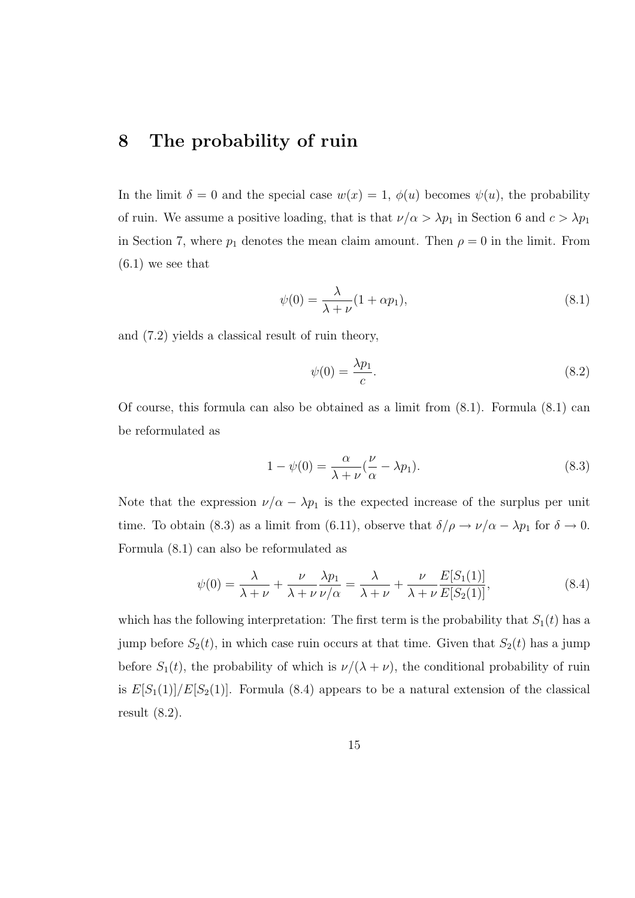#### 8 The probability of ruin

In the limit  $\delta = 0$  and the special case  $w(x) = 1$ ,  $\phi(u)$  becomes  $\psi(u)$ , the probability of ruin. We assume a positive loading, that is that  $\nu/\alpha > \lambda p_1$  in Section 6 and  $c > \lambda p_1$ in Section 7, where  $p_1$  denotes the mean claim amount. Then  $\rho = 0$  in the limit. From  $(6.1)$  we see that

$$
\psi(0) = \frac{\lambda}{\lambda + \nu} (1 + \alpha p_1),\tag{8.1}
$$

and (7.2) yields a classical result of ruin theory,

$$
\psi(0) = \frac{\lambda p_1}{c}.\tag{8.2}
$$

Of course, this formula can also be obtained as a limit from (8.1). Formula (8.1) can be reformulated as

$$
1 - \psi(0) = \frac{\alpha}{\lambda + \nu} (\frac{\nu}{\alpha} - \lambda p_1).
$$
 (8.3)

Note that the expression  $\nu/\alpha - \lambda p_1$  is the expected increase of the surplus per unit time. To obtain (8.3) as a limit from (6.11), observe that  $\delta/\rho \to \nu/\alpha - \lambda p_1$  for  $\delta \to 0$ . Formula (8.1) can also be reformulated as

$$
\psi(0) = \frac{\lambda}{\lambda + \nu} + \frac{\nu}{\lambda + \nu} \frac{\lambda p_1}{\nu/\alpha} = \frac{\lambda}{\lambda + \nu} + \frac{\nu}{\lambda + \nu} \frac{E[S_1(1)]}{E[S_2(1)]},
$$
\n(8.4)

which has the following interpretation: The first term is the probability that  $S_1(t)$  has a jump before  $S_2(t)$ , in which case ruin occurs at that time. Given that  $S_2(t)$  has a jump before  $S_1(t)$ , the probability of which is  $\nu/(\lambda + \nu)$ , the conditional probability of ruin is  $E[S_1(1)]/E[S_2(1)]$ . Formula (8.4) appears to be a natural extension of the classical result (8.2).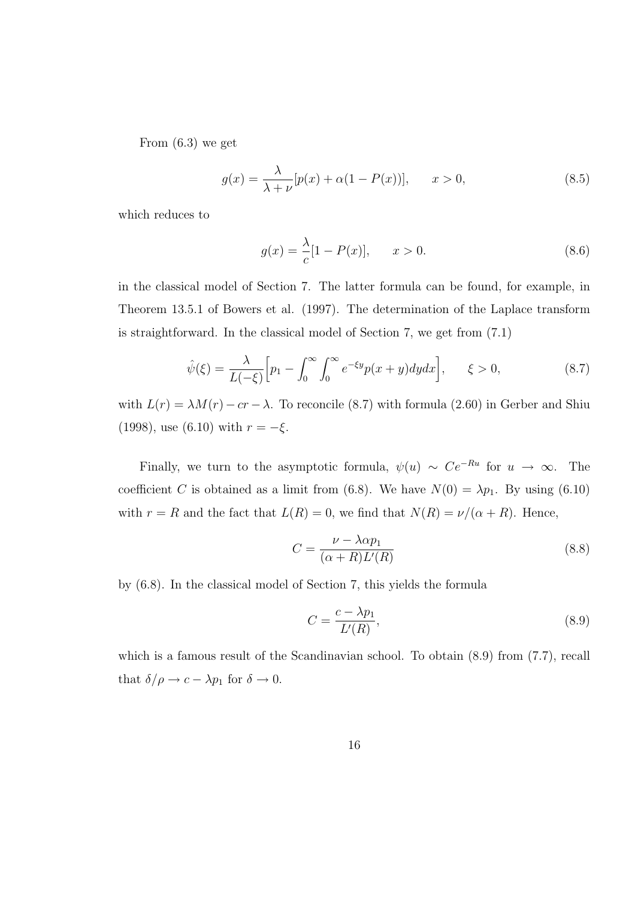From (6.3) we get

$$
g(x) = \frac{\lambda}{\lambda + \nu} [p(x) + \alpha (1 - P(x))], \qquad x > 0,
$$
\n
$$
(8.5)
$$

which reduces to

$$
g(x) = \frac{\lambda}{c} [1 - P(x)], \qquad x > 0.
$$
 (8.6)

in the classical model of Section 7. The latter formula can be found, for example, in Theorem 13.5.1 of Bowers et al. (1997). The determination of the Laplace transform is straightforward. In the classical model of Section 7, we get from (7.1)

$$
\hat{\psi}(\xi) = \frac{\lambda}{L(-\xi)} \Big[ p_1 - \int_0^\infty \int_0^\infty e^{-\xi y} p(x+y) dy dx \Big], \qquad \xi > 0,
$$
\n(8.7)

with  $L(r) = \lambda M(r) - cr - \lambda$ . To reconcile (8.7) with formula (2.60) in Gerber and Shiu (1998), use (6.10) with  $r = -\xi$ .

Finally, we turn to the asymptotic formula,  $\psi(u) \sim Ce^{-Ru}$  for  $u \to \infty$ . The coefficient C is obtained as a limit from (6.8). We have  $N(0) = \lambda p_1$ . By using (6.10) with  $r = R$  and the fact that  $L(R) = 0$ , we find that  $N(R) = \nu/(\alpha + R)$ . Hence,

$$
C = \frac{\nu - \lambda \alpha p_1}{(\alpha + R)L'(R)}\tag{8.8}
$$

by (6.8). In the classical model of Section 7, this yields the formula

$$
C = \frac{c - \lambda p_1}{L'(R)},\tag{8.9}
$$

which is a famous result of the Scandinavian school. To obtain  $(8.9)$  from  $(7.7)$ , recall that  $\delta/\rho \to c - \lambda p_1$  for  $\delta \to 0$ .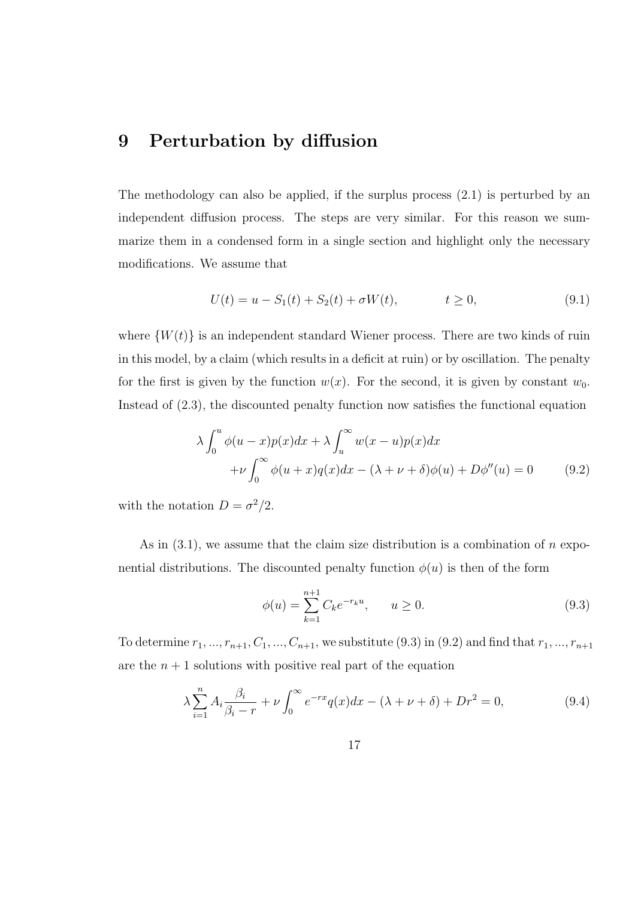## 9 Perturbation by diffusion

The methodology can also be applied, if the surplus process (2.1) is perturbed by an independent diffusion process. The steps are very similar. For this reason we summarize them in a condensed form in a single section and highlight only the necessary modifications. We assume that

$$
U(t) = u - S_1(t) + S_2(t) + \sigma W(t), \qquad t \ge 0,
$$
\n(9.1)

where  $\{W(t)\}\$ is an independent standard Wiener process. There are two kinds of ruin in this model, by a claim (which results in a deficit at ruin) or by oscillation. The penalty for the first is given by the function  $w(x)$ . For the second, it is given by constant  $w_0$ . Instead of (2.3), the discounted penalty function now satisfies the functional equation

$$
\lambda \int_0^u \phi(u-x)p(x)dx + \lambda \int_u^\infty w(x-u)p(x)dx
$$
  
+
$$
\nu \int_0^\infty \phi(u+x)q(x)dx - (\lambda + \nu + \delta)\phi(u) + D\phi''(u) = 0
$$
 (9.2)

with the notation  $D = \sigma^2/2$ .

As in  $(3.1)$ , we assume that the claim size distribution is a combination of n exponential distributions. The discounted penalty function  $\phi(u)$  is then of the form

$$
\phi(u) = \sum_{k=1}^{n+1} C_k e^{-r_k u}, \qquad u \ge 0.
$$
\n(9.3)

To determine  $r_1, ..., r_{n+1}, C_1, ..., C_{n+1}$ , we substitute (9.3) in (9.2) and find that  $r_1, ..., r_{n+1}$ are the  $n + 1$  solutions with positive real part of the equation

$$
\lambda \sum_{i=1}^{n} A_i \frac{\beta_i}{\beta_i - r} + \nu \int_0^{\infty} e^{-rx} q(x) dx - (\lambda + \nu + \delta) + Dr^2 = 0,
$$
\n(9.4)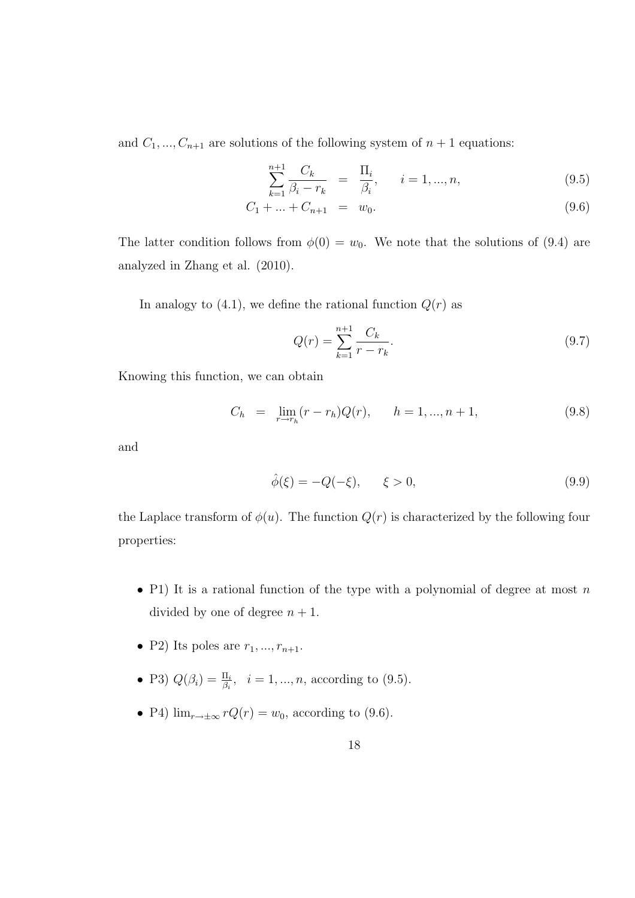and  $C_1, ..., C_{n+1}$  are solutions of the following system of  $n+1$  equations:

$$
\sum_{k=1}^{n+1} \frac{C_k}{\beta_i - r_k} = \frac{\Pi_i}{\beta_i}, \quad i = 1, ..., n,
$$
\n(9.5)

$$
c_{1} + ... + C_{n+1} = w_{0}.
$$
\n(9.6)

The latter condition follows from  $\phi(0) = w_0$ . We note that the solutions of (9.4) are analyzed in Zhang et al. (2010).

In analogy to  $(4.1)$ , we define the rational function  $Q(r)$  as

$$
Q(r) = \sum_{k=1}^{n+1} \frac{C_k}{r - r_k}.
$$
\n(9.7)

Knowing this function, we can obtain

$$
C_h = \lim_{r \to r_h} (r - r_h) Q(r), \qquad h = 1, ..., n + 1,
$$
\n(9.8)

and

$$
\hat{\phi}(\xi) = -Q(-\xi), \qquad \xi > 0,
$$
\n(9.9)

the Laplace transform of  $\phi(u)$ . The function  $Q(r)$  is characterized by the following four properties:

- P1) It is a rational function of the type with a polynomial of degree at most  $n$ divided by one of degree  $n + 1$ .
- P2) Its poles are  $r_1, ..., r_{n+1}$ .
- P3)  $Q(\beta_i) = \frac{\Pi_i}{\beta_i}, \ \ i = 1, ..., n$ , according to (9.5).
- P4)  $\lim_{r \to \pm \infty} rQ(r) = w_0$ , according to (9.6).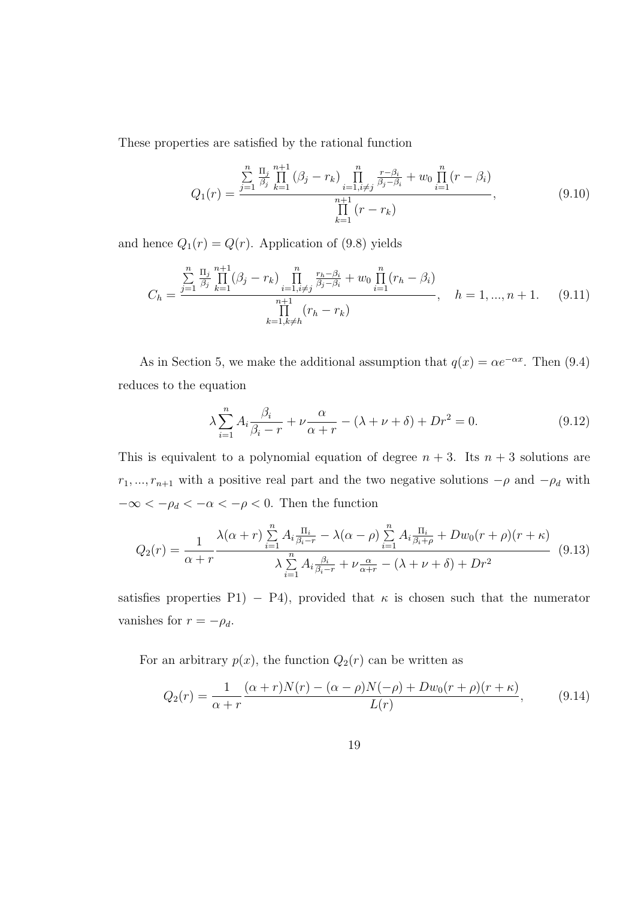These properties are satisfied by the rational function

$$
Q_1(r) = \frac{\sum_{j=1}^{n} \frac{\Pi_j}{\beta_j} \prod_{k=1}^{n+1} (\beta_j - r_k) \prod_{i=1, i \neq j}^{n} \frac{r - \beta_i}{\beta_j - \beta_i} + w_0 \prod_{i=1}^{n} (r - \beta_i)}{\prod_{k=1}^{n+1} (r - r_k)},
$$
(9.10)

and hence  $Q_1(r) = Q(r)$ . Application of (9.8) yields

$$
C_h = \frac{\sum\limits_{j=1}^{n} \frac{\Pi_j}{\beta_j} \prod\limits_{k=1}^{n+1} (\beta_j - r_k) \prod\limits_{i=1, i \neq j}^{n} \frac{r_h - \beta_i}{\beta_j - \beta_i} + w_0 \prod\limits_{i=1}^{n} (r_h - \beta_i)}{\prod\limits_{k=1, k \neq h}^{n+1} (r_h - r_k)}, \quad h = 1, ..., n+1. \tag{9.11}
$$

As in Section 5, we make the additional assumption that  $q(x) = \alpha e^{-\alpha x}$ . Then (9.4) reduces to the equation

$$
\lambda \sum_{i=1}^{n} A_i \frac{\beta_i}{\beta_i - r} + \nu \frac{\alpha}{\alpha + r} - (\lambda + \nu + \delta) + Dr^2 = 0.
$$
 (9.12)

This is equivalent to a polynomial equation of degree  $n + 3$ . Its  $n + 3$  solutions are  $r_1, ..., r_{n+1}$  with a positive real part and the two negative solutions  $-\rho$  and  $-\rho_d$  with  $-\infty < -\rho_d < -\alpha < -\rho < 0$ . Then the function

$$
Q_2(r) = \frac{1}{\alpha + r} \frac{\lambda(\alpha + r) \sum\limits_{i=1}^n A_i \frac{\Pi_i}{\beta_i - r} - \lambda(\alpha - \rho) \sum\limits_{i=1}^n A_i \frac{\Pi_i}{\beta_i + \rho} + Dw_0(r + \rho)(r + \kappa)}{\lambda \sum\limits_{i=1}^n A_i \frac{\beta_i}{\beta_i - r} + \nu \frac{\alpha}{\alpha + r} - (\lambda + \nu + \delta) + Dr^2}
$$
(9.13)

satisfies properties P1) – P4), provided that  $\kappa$  is chosen such that the numerator vanishes for  $r = -\rho_d$ .

For an arbitrary  $p(x)$ , the function  $Q_2(r)$  can be written as

$$
Q_2(r) = \frac{1}{\alpha + r} \frac{(\alpha + r)N(r) - (\alpha - \rho)N(-\rho) + Dw_0(r + \rho)(r + \kappa)}{L(r)},
$$
(9.14)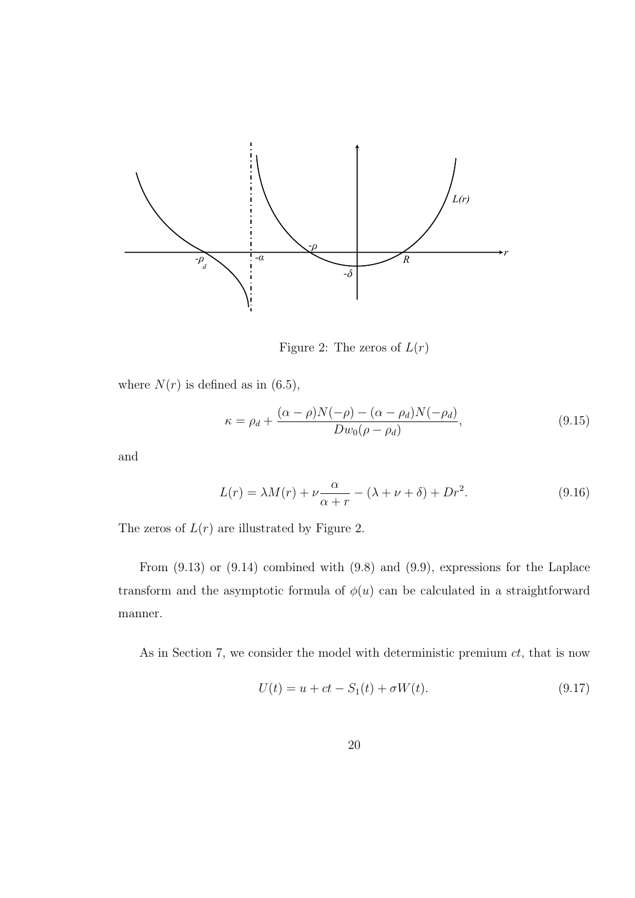

Figure 2: The zeros of  $L(r)$ 

where  $N(r)$  is defined as in (6.5),

$$
\kappa = \rho_d + \frac{(\alpha - \rho)N(-\rho) - (\alpha - \rho_d)N(-\rho_d)}{Dw_0(\rho - \rho_d)},\tag{9.15}
$$

and

$$
L(r) = \lambda M(r) + \nu \frac{\alpha}{\alpha + r} - (\lambda + \nu + \delta) + Dr^2.
$$
 (9.16)

The zeros of  $L(r)$  are illustrated by Figure 2.

From (9.13) or (9.14) combined with (9.8) and (9.9), expressions for the Laplace transform and the asymptotic formula of  $\phi(u)$  can be calculated in a straightforward manner.

As in Section 7, we consider the model with deterministic premium  $ct$ , that is now

$$
U(t) = u + ct - S_1(t) + \sigma W(t).
$$
\n(9.17)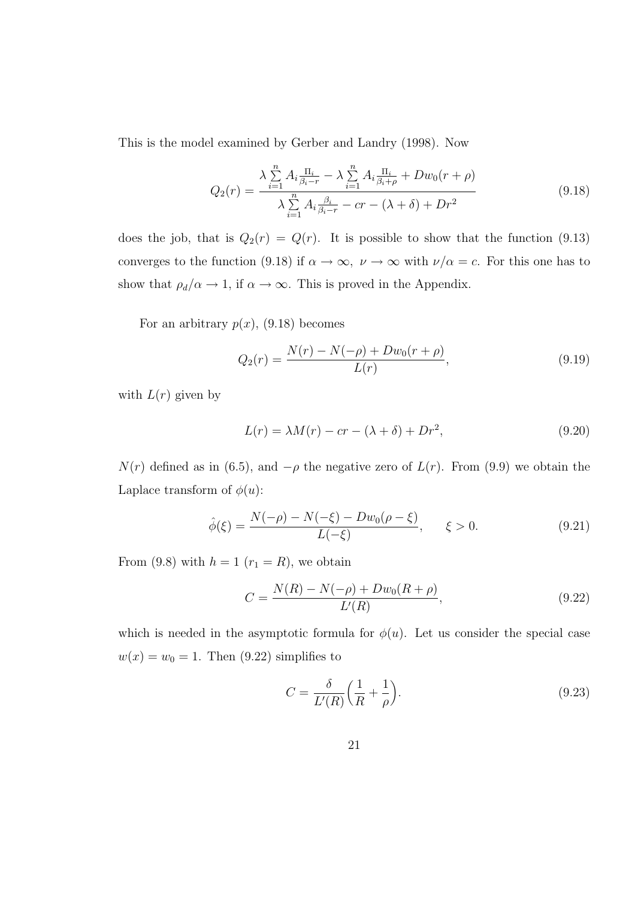This is the model examined by Gerber and Landry (1998). Now

$$
Q_2(r) = \frac{\lambda \sum_{i=1}^{n} A_i \frac{\Pi_i}{\beta_i - r} - \lambda \sum_{i=1}^{n} A_i \frac{\Pi_i}{\beta_i + \rho} + Dw_0(r + \rho)}{\lambda \sum_{i=1}^{n} A_i \frac{\beta_i}{\beta_i - r} - cr - (\lambda + \delta) + Dr^2}
$$
(9.18)

does the job, that is  $Q_2(r) = Q(r)$ . It is possible to show that the function (9.13) converges to the function (9.18) if  $\alpha \to \infty$ ,  $\nu \to \infty$  with  $\nu/\alpha = c$ . For this one has to show that  $\rho_d/\alpha \to 1$ , if  $\alpha \to \infty$ . This is proved in the Appendix.

For an arbitrary  $p(x)$ , (9.18) becomes

$$
Q_2(r) = \frac{N(r) - N(-\rho) + Dw_0(r+\rho)}{L(r)},
$$
\n(9.19)

with  $L(r)$  given by

$$
L(r) = \lambda M(r) - cr - (\lambda + \delta) + Dr^2,
$$
\n(9.20)

 $N(r)$  defined as in (6.5), and  $-\rho$  the negative zero of  $L(r)$ . From (9.9) we obtain the Laplace transform of  $\phi(u)$ :

$$
\hat{\phi}(\xi) = \frac{N(-\rho) - N(-\xi) - Dw_0(\rho - \xi)}{L(-\xi)}, \qquad \xi > 0.
$$
\n(9.21)

From (9.8) with  $h = 1$   $(r_1 = R)$ , we obtain

$$
C = \frac{N(R) - N(-\rho) + Dw_0(R+\rho)}{L'(R)},
$$
\n(9.22)

which is needed in the asymptotic formula for  $\phi(u)$ . Let us consider the special case  $w(x) = w_0 = 1$ . Then (9.22) simplifies to

$$
C = \frac{\delta}{L'(R)} \left( \frac{1}{R} + \frac{1}{\rho} \right). \tag{9.23}
$$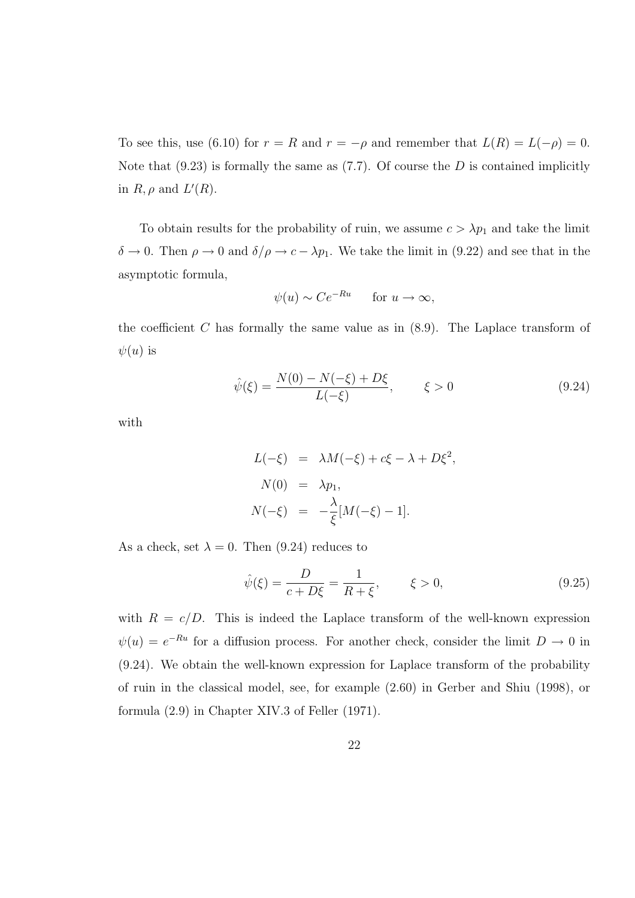To see this, use (6.10) for  $r = R$  and  $r = -\rho$  and remember that  $L(R) = L(-\rho) = 0$ . Note that  $(9.23)$  is formally the same as  $(7.7)$ . Of course the D is contained implicitly in  $R, \rho$  and  $L'(R)$ .

To obtain results for the probability of ruin, we assume  $c > \lambda p_1$  and take the limit  $\delta \to 0$ . Then  $\rho \to 0$  and  $\delta/\rho \to c - \lambda p_1$ . We take the limit in (9.22) and see that in the asymptotic formula,

$$
\psi(u) \sim Ce^{-Ru}
$$
 for  $u \to \infty$ ,

the coefficient  $C$  has formally the same value as in  $(8.9)$ . The Laplace transform of  $\psi(u)$  is

$$
\hat{\psi}(\xi) = \frac{N(0) - N(-\xi) + D\xi}{L(-\xi)}, \qquad \xi > 0
$$
\n(9.24)

with

$$
L(-\xi) = \lambda M(-\xi) + c\xi - \lambda + D\xi^{2},
$$
  
\n
$$
N(0) = \lambda p_{1},
$$
  
\n
$$
N(-\xi) = -\frac{\lambda}{\xi}[M(-\xi) - 1].
$$

As a check, set  $\lambda = 0$ . Then (9.24) reduces to

$$
\hat{\psi}(\xi) = \frac{D}{c + D\xi} = \frac{1}{R + \xi}, \qquad \xi > 0,
$$
\n(9.25)

with  $R = c/D$ . This is indeed the Laplace transform of the well-known expression  $\psi(u) = e^{-Ru}$  for a diffusion process. For another check, consider the limit  $D \to 0$  in (9.24). We obtain the well-known expression for Laplace transform of the probability of ruin in the classical model, see, for example (2.60) in Gerber and Shiu (1998), or formula (2.9) in Chapter XIV.3 of Feller (1971).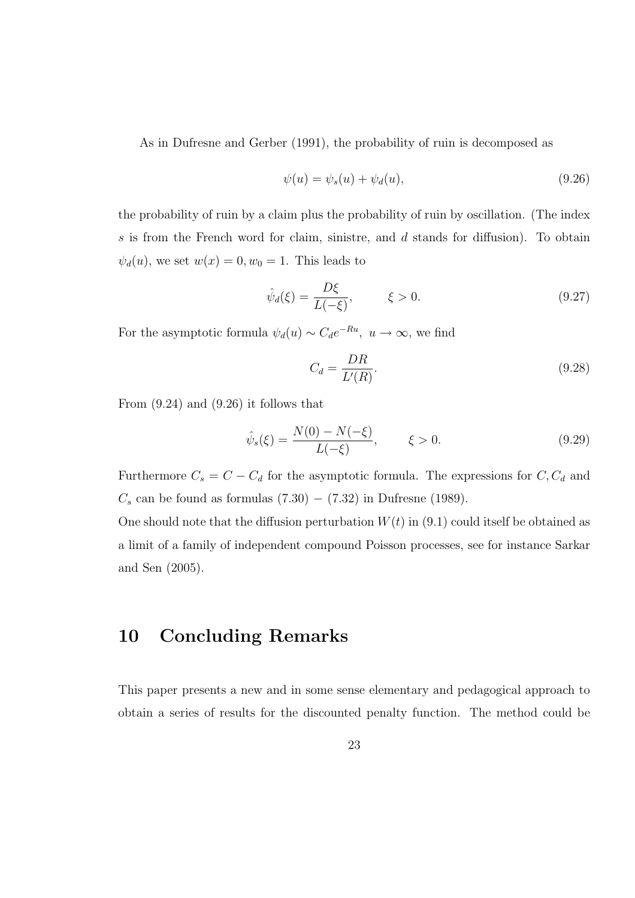As in Dufresne and Gerber (1991), the probability of ruin is decomposed as

$$
\psi(u) = \psi_s(u) + \psi_d(u),\tag{9.26}
$$

the probability of ruin by a claim plus the probability of ruin by oscillation. (The index s is from the French word for claim, sinistre, and d stands for diffusion). To obtain  $\psi_d(u)$ , we set  $w(x) = 0, w_0 = 1$ . This leads to

$$
\hat{\psi}_d(\xi) = \frac{D\xi}{L(-\xi)}, \qquad \xi > 0.
$$
\n(9.27)

For the asymptotic formula  $\psi_d(u) \sim C_d e^{-Ru}$ ,  $u \to \infty$ , we find

$$
C_d = \frac{DR}{L'(R)}.\t(9.28)
$$

From (9.24) and (9.26) it follows that

$$
\hat{\psi}_s(\xi) = \frac{N(0) - N(-\xi)}{L(-\xi)}, \qquad \xi > 0.
$$
\n(9.29)

Furthermore  $C_s = C - C_d$  for the asymptotic formula. The expressions for  $C, C_d$  and  $C_s$  can be found as formulas (7.30) – (7.32) in Dufresne (1989).

One should note that the diffusion perturbation  $W(t)$  in (9.1) could itself be obtained as a limit of a family of independent compound Poisson processes, see for instance Sarkar and Sen (2005).

#### 10 Concluding Remarks

This paper presents a new and in some sense elementary and pedagogical approach to obtain a series of results for the discounted penalty function. The method could be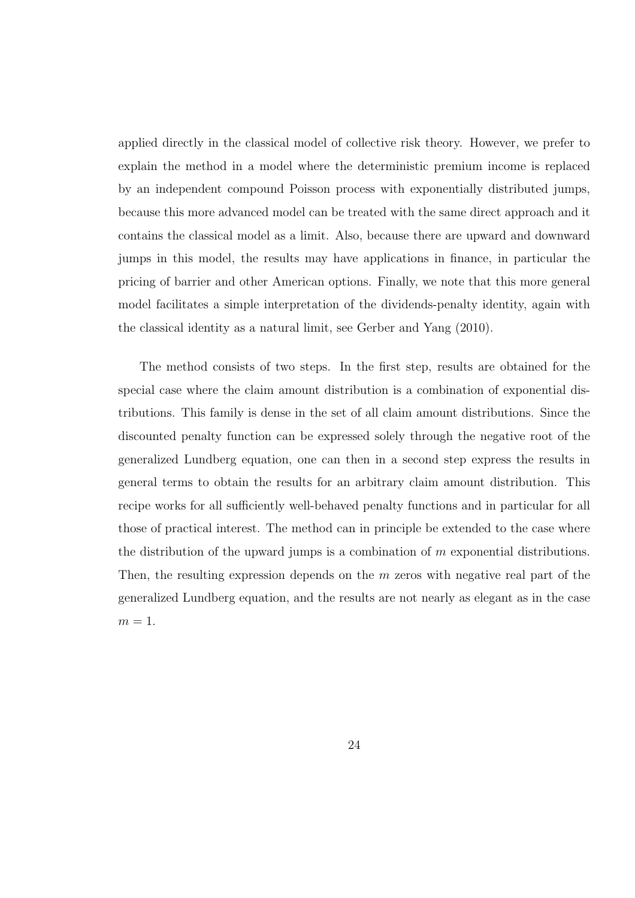applied directly in the classical model of collective risk theory. However, we prefer to explain the method in a model where the deterministic premium income is replaced by an independent compound Poisson process with exponentially distributed jumps, because this more advanced model can be treated with the same direct approach and it contains the classical model as a limit. Also, because there are upward and downward jumps in this model, the results may have applications in finance, in particular the pricing of barrier and other American options. Finally, we note that this more general model facilitates a simple interpretation of the dividends-penalty identity, again with the classical identity as a natural limit, see Gerber and Yang (2010).

The method consists of two steps. In the first step, results are obtained for the special case where the claim amount distribution is a combination of exponential distributions. This family is dense in the set of all claim amount distributions. Since the discounted penalty function can be expressed solely through the negative root of the generalized Lundberg equation, one can then in a second step express the results in general terms to obtain the results for an arbitrary claim amount distribution. This recipe works for all sufficiently well-behaved penalty functions and in particular for all those of practical interest. The method can in principle be extended to the case where the distribution of the upward jumps is a combination of  $m$  exponential distributions. Then, the resulting expression depends on the  $m$  zeros with negative real part of the generalized Lundberg equation, and the results are not nearly as elegant as in the case  $m=1$ .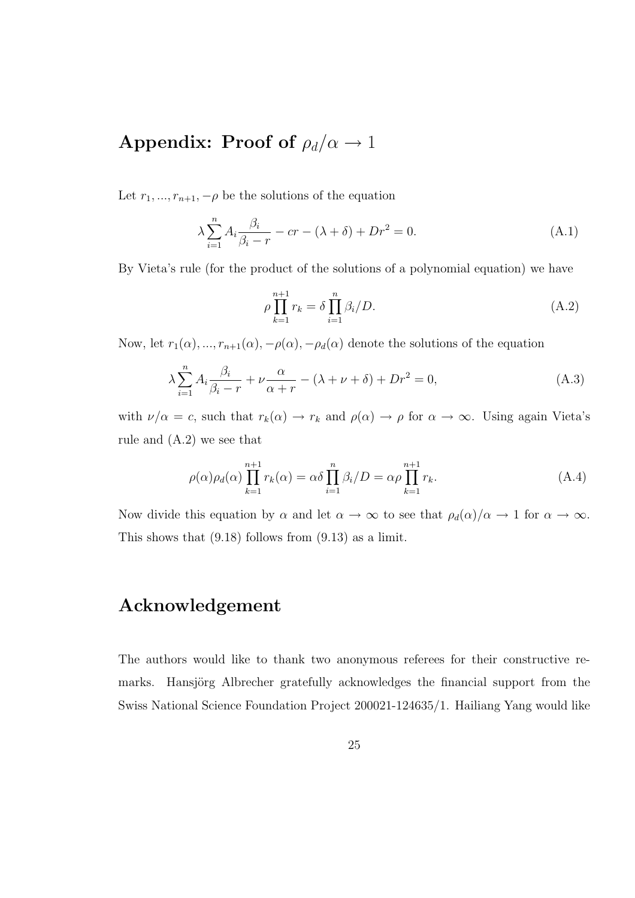## Appendix: Proof of  $\rho_d/\alpha \rightarrow 1$

Let  $r_1, ..., r_{n+1}, -\rho$  be the solutions of the equation

$$
\lambda \sum_{i=1}^{n} A_i \frac{\beta_i}{\beta_i - r} - cr - (\lambda + \delta) + Dr^2 = 0.
$$
\n(A.1)

By Vieta's rule (for the product of the solutions of a polynomial equation) we have

$$
\rho \prod_{k=1}^{n+1} r_k = \delta \prod_{i=1}^n \beta_i / D. \tag{A.2}
$$

Now, let  $r_1(\alpha), ..., r_{n+1}(\alpha), -\rho(\alpha), -\rho_d(\alpha)$  denote the solutions of the equation

$$
\lambda \sum_{i=1}^{n} A_i \frac{\beta_i}{\beta_i - r} + \nu \frac{\alpha}{\alpha + r} - (\lambda + \nu + \delta) + Dr^2 = 0,
$$
\n(A.3)

with  $\nu/\alpha = c$ , such that  $r_k(\alpha) \to r_k$  and  $\rho(\alpha) \to \rho$  for  $\alpha \to \infty$ . Using again Vieta's rule and (A.2) we see that

$$
\rho(\alpha)\rho_d(\alpha)\prod_{k=1}^{n+1}r_k(\alpha) = \alpha\delta\prod_{i=1}^n\beta_i/D = \alpha\rho\prod_{k=1}^{n+1}r_k.
$$
\n(A.4)

Now divide this equation by  $\alpha$  and let  $\alpha \to \infty$  to see that  $\rho_d(\alpha)/\alpha \to 1$  for  $\alpha \to \infty$ . This shows that (9.18) follows from (9.13) as a limit.

#### Acknowledgement

The authors would like to thank two anonymous referees for their constructive remarks. Hansjörg Albrecher gratefully acknowledges the financial support from the Swiss National Science Foundation Project 200021-124635/1. Hailiang Yang would like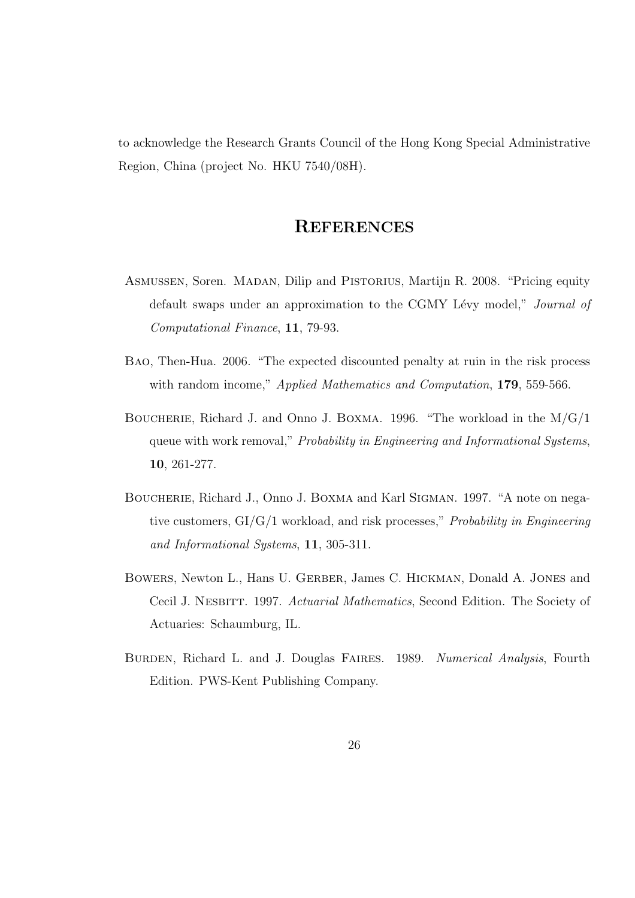to acknowledge the Research Grants Council of the Hong Kong Special Administrative Region, China (project No. HKU 7540/08H).

#### **REFERENCES**

- Asmussen, Soren. Madan, Dilip and Pistorius, Martijn R. 2008. "Pricing equity default swaps under an approximation to the CGMY Lévy model," Journal of Computational Finance, 11, 79-93.
- Bao, Then-Hua. 2006. "The expected discounted penalty at ruin in the risk process with random income," Applied Mathematics and Computation, 179, 559-566.
- BOUCHERIE, Richard J. and Onno J. BOXMA. 1996. "The workload in the  $M/G/1$ queue with work removal," Probability in Engineering and Informational Systems, 10, 261-277.
- Boucherie, Richard J., Onno J. Boxma and Karl Sigman. 1997. "A note on negative customers, GI/G/1 workload, and risk processes," Probability in Engineering and Informational Systems, 11, 305-311.
- BOWERS, Newton L., Hans U. GERBER, James C. HICKMAN, Donald A. JONES and Cecil J. Nesbitt. 1997. Actuarial Mathematics, Second Edition. The Society of Actuaries: Schaumburg, IL.
- BURDEN, Richard L. and J. Douglas FAIRES. 1989. Numerical Analysis, Fourth Edition. PWS-Kent Publishing Company.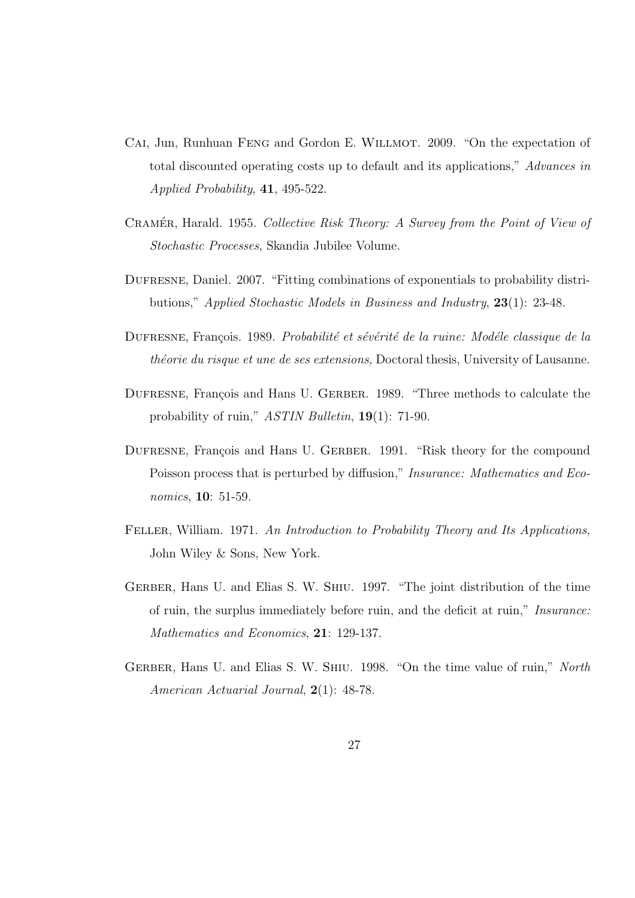- CAI, Jun, Runhuan FENG and Gordon E. WILLMOT. 2009. "On the expectation of total discounted operating costs up to default and its applications," Advances in Applied Probability, 41, 495-522.
- CRAMÉR, Harald. 1955. Collective Risk Theory: A Survey from the Point of View of Stochastic Processes, Skandia Jubilee Volume.
- Dufresne, Daniel. 2007. "Fitting combinations of exponentials to probability distributions," Applied Stochastic Models in Business and Industry, 23(1): 23-48.
- DUFRESNE, François. 1989. Probabilité et sévérité de la ruine: Modéle classique de la théorie du risque et une de ses extensions, Doctoral thesis, University of Lausanne.
- DUFRESNE, François and Hans U. GERBER. 1989. "Three methods to calculate the probability of ruin," ASTIN Bulletin, 19(1): 71-90.
- DUFRESNE, François and Hans U. GERBER. 1991. "Risk theory for the compound Poisson process that is perturbed by diffusion," Insurance: Mathematics and Economics, 10: 51-59.
- FELLER, William. 1971. An Introduction to Probability Theory and Its Applications, John Wiley & Sons, New York.
- GERBER, Hans U. and Elias S. W. SHIU. 1997. "The joint distribution of the time of ruin, the surplus immediately before ruin, and the deficit at ruin," Insurance: Mathematics and Economics, 21: 129-137.
- GERBER, Hans U. and Elias S. W. SHIU. 1998. "On the time value of ruin," North American Actuarial Journal, 2(1): 48-78.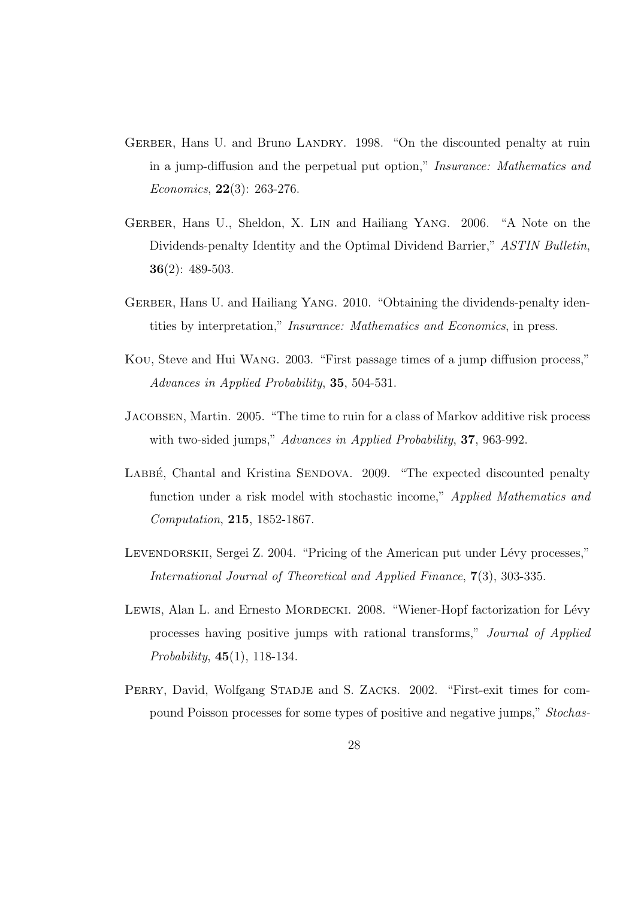- GERBER, Hans U. and Bruno LANDRY. 1998. "On the discounted penalty at ruin in a jump-diffusion and the perpetual put option," Insurance: Mathematics and Economics, 22(3): 263-276.
- GERBER, Hans U., Sheldon, X. LIN and Hailiang YANG. 2006. "A Note on the Dividends-penalty Identity and the Optimal Dividend Barrier," ASTIN Bulletin, **36** $(2)$ : 489-503.
- GERBER, Hans U. and Hailiang YANG. 2010. "Obtaining the dividends-penalty identities by interpretation," Insurance: Mathematics and Economics, in press.
- Kou, Steve and Hui Wang. 2003. "First passage times of a jump diffusion process," Advances in Applied Probability, 35, 504-531.
- Jacobsen, Martin. 2005. "The time to ruin for a class of Markov additive risk process with two-sided jumps," Advances in Applied Probability, 37, 963-992.
- LABBE, Chantal and Kristina SENDOVA. 2009. "The expected discounted penalty function under a risk model with stochastic income," *Applied Mathematics and* Computation, 215, 1852-1867.
- LEVENDORSKII, Sergei Z. 2004. "Pricing of the American put under Lévy processes," International Journal of Theoretical and Applied Finance, 7(3), 303-335.
- LEWIS, Alan L. and Ernesto MORDECKI. 2008. "Wiener-Hopf factorization for Lévy processes having positive jumps with rational transforms," Journal of Applied Probability, 45(1), 118-134.
- PERRY, David, Wolfgang STADJE and S. ZACKS. 2002. "First-exit times for compound Poisson processes for some types of positive and negative jumps," Stochas-